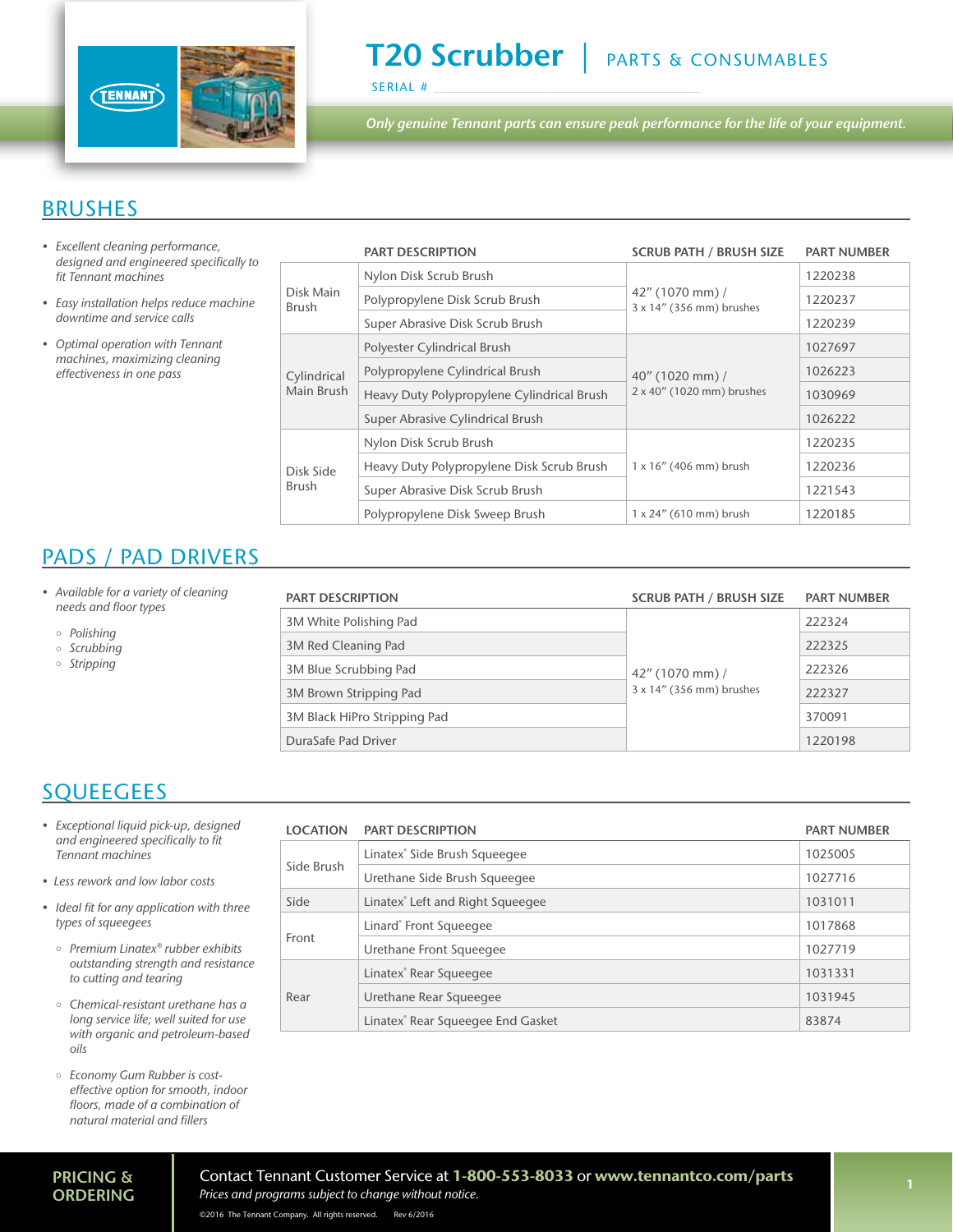

# T20 Scrubber | PARTS & CONSUMABLES

SERIAL #

*Only genuine Tennant parts can ensure peak performance for the life of your equipment.*

### BRUSHES

- *• Excellent cleaning performance,*  designed and engineered specifically to fit Tennant machines
- Easy installation helps reduce machine *downtime and service calls*
- Optimal operation with Tennant machines, maximizing cleaning effectiveness in one pass

|                           | <b>PART DESCRIPTION</b>                    | <b>SCRUB PATH / BRUSH SIZE</b>                 | <b>PART NUMBER</b> |
|---------------------------|--------------------------------------------|------------------------------------------------|--------------------|
| Disk Main<br><b>Brush</b> | Nylon Disk Scrub Brush                     | $42''$ (1070 mm) /<br>3 x 14" (356 mm) brushes | 1220238            |
|                           | Polypropylene Disk Scrub Brush             |                                                | 1220237            |
|                           | Super Abrasive Disk Scrub Brush            |                                                | 1220239            |
| Cylindrical<br>Main Brush | Polyester Cylindrical Brush                | 40" (1020 mm) /<br>2 x 40" (1020 mm) brushes   | 1027697            |
|                           | Polypropylene Cylindrical Brush            |                                                | 1026223            |
|                           | Heavy Duty Polypropylene Cylindrical Brush |                                                | 1030969            |
|                           | Super Abrasive Cylindrical Brush           |                                                | 1026222            |
| Disk Side<br><b>Brush</b> | Nylon Disk Scrub Brush                     |                                                | 1220235            |
|                           | Heavy Duty Polypropylene Disk Scrub Brush  | $1 \times 16$ " (406 mm) brush                 | 1220236            |
|                           | Super Abrasive Disk Scrub Brush            |                                                | 1221543            |
|                           | Polypropylene Disk Sweep Brush             | $1 \times 24$ " (610 mm) brush                 | 1220185            |

## PADS / PAD DRIVERS

- Available for a variety of cleaning needs and floor types
	- Polishing
	- $\circ$  Scrubbing
	- *Stripping*

| <b>PART DESCRIPTION</b>      | <b>SCRUB PATH / BRUSH SIZE</b>                 | <b>PART NUMBER</b> |
|------------------------------|------------------------------------------------|--------------------|
| 3M White Polishing Pad       |                                                | 222324             |
| 3M Red Cleaning Pad          |                                                | 222325             |
| 3M Blue Scrubbing Pad        | $42''$ (1070 mm) /<br>3 x 14" (356 mm) brushes | 222326             |
| 3M Brown Stripping Pad       |                                                | 222327             |
| 3M Black HiPro Stripping Pad |                                                | 370091             |
| DuraSafe Pad Driver          |                                                | 1220198            |

### **SQUEEGEES**

- Exceptional liquid pick-up, designed and engineered specifically to fit Tennant machines
- Less rework and low labor costs
- Ideal fit for any application with three types of squeegees
	- Premium Linatex® rubber exhibits outstanding strength and resistance to cutting and tearing
	- $\circ$  Chemical-resistant urethane has a long service life; well suited for use with organic and petroleum-based *oils*
	- Economy Gum Rubber is costeffective option for smooth, indoor floors, made of a combination of natural material and fillers

| LOCATION   | <b>PART DESCRIPTION</b>                       | <b>PART NUMBER</b> |
|------------|-----------------------------------------------|--------------------|
| Side Brush | Linatex <sup>®</sup> Side Brush Squeegee      | 1025005            |
|            | Urethane Side Brush Squeeqee                  | 1027716            |
| Side       | Linatex® Left and Right Squeegee              | 1031011            |
| Front      | Linard® Front Squeegee                        | 1017868            |
|            | Urethane Front Squeegee                       | 1027719            |
| Rear       | Linatex <sup>®</sup> Rear Squeegee            | 1031331            |
|            | Urethane Rear Squeegee                        | 1031945            |
|            | Linatex <sup>®</sup> Rear Squeegee End Gasket | 83874              |

#### PRICING & **ORDERING**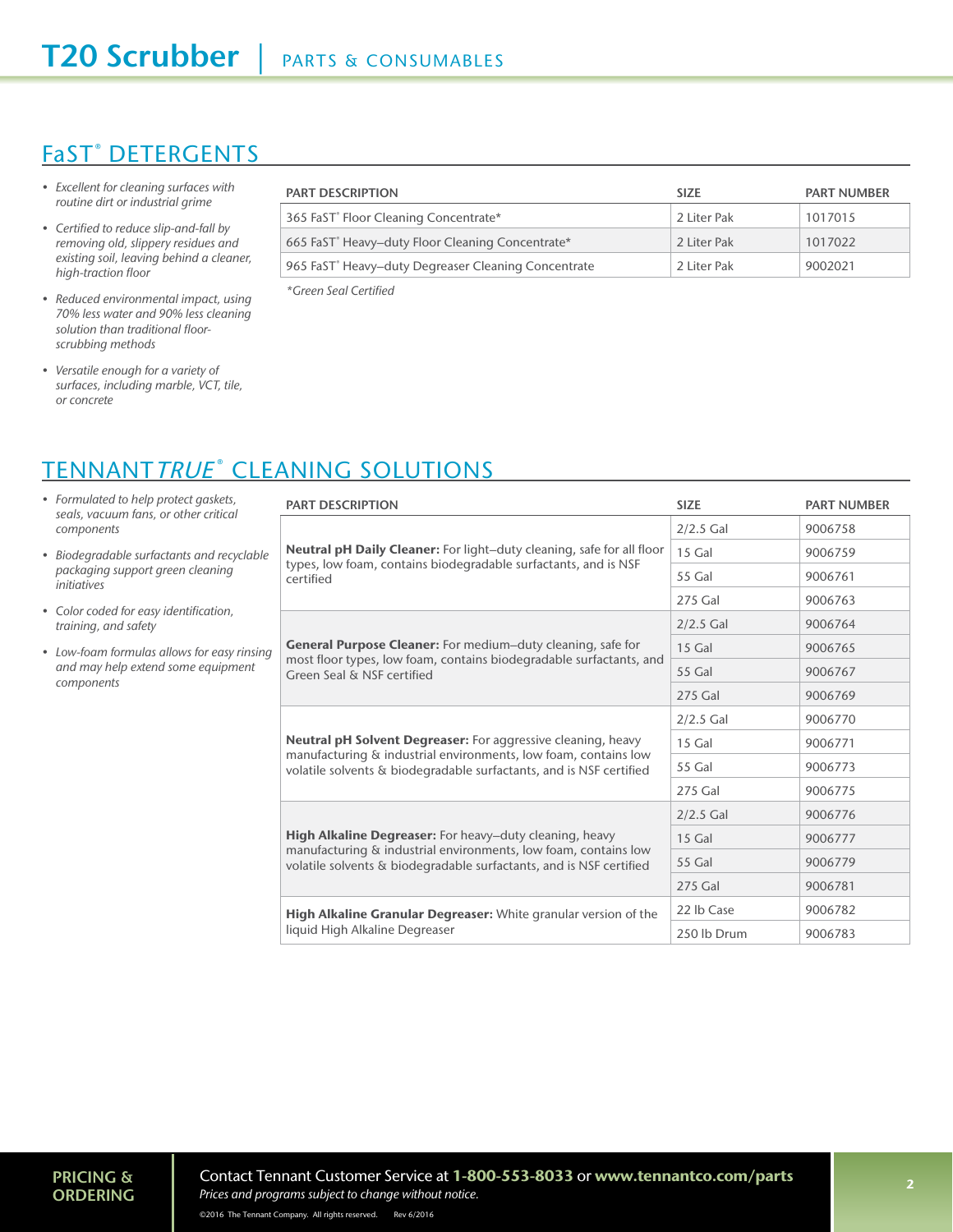## <u>FaST® DETERGENTS</u>

- Excellent for cleaning surfaces with routine dirt or industrial grime
- Certified to reduce slip-and-fall by removing old, slippery residues and existing soil, leaving behind a cleaner, high-traction floor
- Reduced environmental impact, using *70% less water and 90% less cleaning*  solution than traditional floorscrubbing methods
- Versatile enough for a variety of surfaces, including marble, VCT, tile, *or concrete*

| <b>PART DESCRIPTION</b>                                         | <b>SIZE</b> | <b>PART NUMBER</b> |
|-----------------------------------------------------------------|-------------|--------------------|
| 365 FaST <sup>®</sup> Floor Cleaning Concentrate*               | 2 Liter Pak | 1017015            |
| 665 FaST <sup>®</sup> Heavy-duty Floor Cleaning Concentrate*    | 2 Liter Pak | 1017022            |
| 965 FaST <sup>®</sup> Heavy-duty Degreaser Cleaning Concentrate | 2 Liter Pak | 9002021            |

\*Green Seal Certified

# <u>TENNANT*TRUE*® CLEANING SOLUTIONS</u>

- Formulated to help protect gaskets, seals, vacuum fans, or other critical *components*
- Biodegradable surfactants and recyclable packaging support green cleaning *initiatives*
- Color coded for easy identification, training, and safety
- Low-foam formulas allows for easy rinsing and may help extend some equipment *components*

| <b>PART DESCRIPTION</b>                                                                                                                | <b>SIZE</b>   | <b>PART NUMBER</b> |
|----------------------------------------------------------------------------------------------------------------------------------------|---------------|--------------------|
|                                                                                                                                        | $2/2.5$ Gal   | 9006758            |
| <b>Neutral pH Daily Cleaner:</b> For light-duty cleaning, safe for all floor                                                           | 15 Gal        | 9006759            |
| types, low foam, contains biodegradable surfactants, and is NSF<br>certified                                                           | 55 Gal        | 9006761            |
|                                                                                                                                        | 275 Gal       | 9006763            |
|                                                                                                                                        | $2/2.5$ Gal   | 9006764            |
| General Purpose Cleaner: For medium-duty cleaning, safe for                                                                            | 15 Gal        | 9006765            |
| most floor types, low foam, contains biodegradable surfactants, and<br>Green Seal & NSF certified                                      | 55 Gal        | 9006767            |
|                                                                                                                                        | 275 Gal       | 9006769            |
|                                                                                                                                        | $2/2.5$ Gal   | 9006770            |
| Neutral pH Solvent Degreaser: For aggressive cleaning, heavy                                                                           | 15 Gal        | 9006771            |
| manufacturing & industrial environments, low foam, contains low<br>volatile solvents & biodegradable surfactants, and is NSF certified | <b>55 Gal</b> | 9006773            |
|                                                                                                                                        | 275 Gal       | 9006775            |
|                                                                                                                                        | $2/2.5$ Gal   | 9006776            |
| High Alkaline Degreaser: For heavy-duty cleaning, heavy                                                                                | 15 Gal        | 9006777            |
| manufacturing & industrial environments, low foam, contains low<br>volatile solvents & biodegradable surfactants, and is NSF certified | 55 Gal        | 9006779            |
|                                                                                                                                        | 275 Gal       | 9006781            |
| High Alkaline Granular Degreaser: White granular version of the                                                                        | 22 lb Case    | 9006782            |
| liquid High Alkaline Degreaser                                                                                                         | 250 lb Drum   | 9006783            |